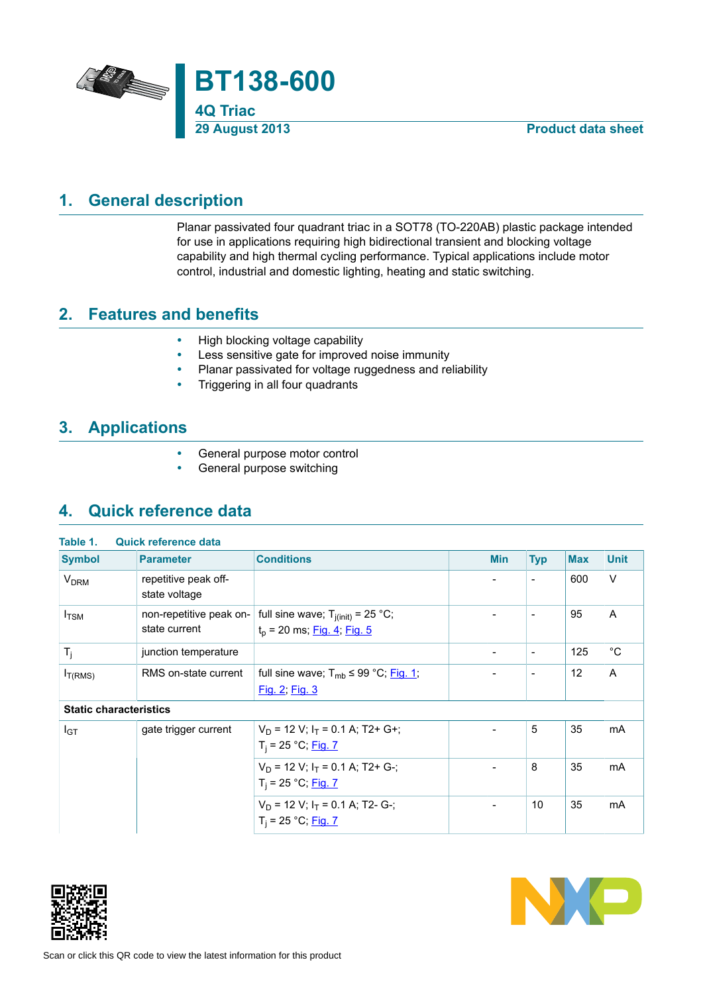

# **1. General description**

<span id="page-0-0"></span>Planar passivated four quadrant triac in a SOT78 (TO-220AB) plastic package intended for use in applications requiring high bidirectional transient and blocking voltage capability and high thermal cycling performance. Typical applications include motor control, industrial and domestic lighting, heating and static switching.

## **2. Features and benefits**

- <span id="page-0-1"></span>• High blocking voltage capability<br>• Less sensitive gate for improved
- Less sensitive gate for improved noise immunity
- Planar passivated for voltage ruggedness and reliability<br>• Triggering in all four quadrants
- Triggering in all four quadrants

## **3. Applications**

- <span id="page-0-2"></span>• General purpose motor control<br>• General purpose switching
- <span id="page-0-3"></span>General purpose switching

## **4. Quick reference data**

| Table 1.                      | <b>Quick reference data</b>              |                                                                         |                          |                          |            |             |
|-------------------------------|------------------------------------------|-------------------------------------------------------------------------|--------------------------|--------------------------|------------|-------------|
| <b>Symbol</b>                 | <b>Parameter</b>                         | <b>Conditions</b>                                                       | <b>Min</b>               | <b>Typ</b>               | <b>Max</b> | <b>Unit</b> |
| <b>V<sub>DRM</sub></b>        | repetitive peak off-<br>state voltage    |                                                                         | -                        | $\overline{\phantom{a}}$ | 600        | $\vee$      |
| $I_{TSM}$                     | non-repetitive peak on-<br>state current | full sine wave; $T_{i(init)} = 25$ °C;<br>$t_p$ = 20 ms; Fig. 4; Fig. 5 |                          | $\overline{\phantom{a}}$ | 95         | A           |
| $T_i$                         | junction temperature                     |                                                                         | $\overline{\phantom{a}}$ | $\overline{\phantom{a}}$ | 125        | $^{\circ}C$ |
| $I_{T(RMS)}$                  | RMS on-state current                     | full sine wave; $T_{mb} \leq 99 \degree C$ ; Fig. 1;<br>Fig. 2; Fig. 3  |                          | $\overline{\phantom{a}}$ | 12         | A           |
| <b>Static characteristics</b> |                                          |                                                                         |                          |                          |            |             |
| $I_{GT}$                      | gate trigger current                     | $V_D$ = 12 V; $I_T$ = 0.1 A; T2+ G+;<br>$T_i = 25 °C;$ Fig. 7           |                          | 5                        | 35         | <b>mA</b>   |
|                               |                                          | $V_D$ = 12 V; $I_T$ = 0.1 A; T2+ G-;<br>$T_i = 25 °C;$ Fig. 7           | $\overline{\phantom{0}}$ | 8                        | 35         | mA          |
|                               |                                          | $V_D$ = 12 V; $I_T$ = 0.1 A; T2- G-;<br>$T_i = 25 °C;$ Fig. 7           |                          | 10                       | 35         | mA          |



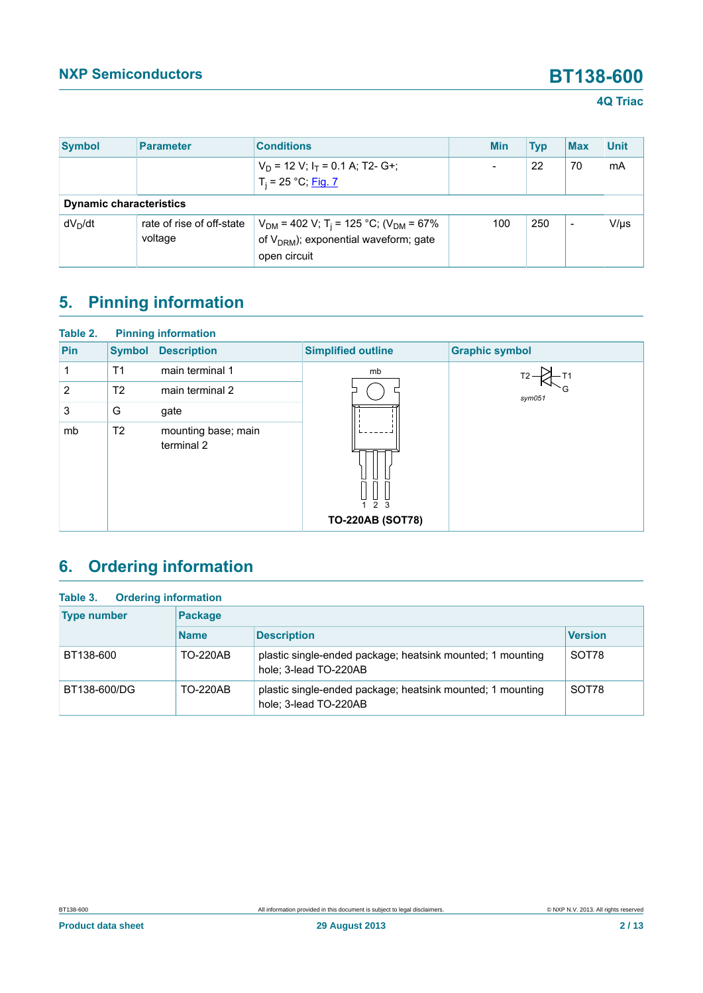### **4Q Triac**

| <b>Symbol</b>                  | <b>Parameter</b>                     | <b>Conditions</b>                                                                                                               | <b>Min</b> | <b>Typ</b> | <b>Max</b>               | <b>Unit</b> |
|--------------------------------|--------------------------------------|---------------------------------------------------------------------------------------------------------------------------------|------------|------------|--------------------------|-------------|
|                                |                                      | $V_D$ = 12 V; $I_T$ = 0.1 A; T2- G+;<br>$T_i = 25 °C;$ Fig. 7                                                                   | -          | 22         | 70                       | mA          |
| <b>Dynamic characteristics</b> |                                      |                                                                                                                                 |            |            |                          |             |
| $dV_D/dt$                      | rate of rise of off-state<br>voltage | $V_{DM}$ = 402 V; T <sub>i</sub> = 125 °C; (V <sub>DM</sub> = 67%<br>of $V_{DRM}$ ); exponential waveform; gate<br>open circuit | 100        | 250        | $\overline{\phantom{a}}$ | $V/\mu s$   |

# <span id="page-1-0"></span>**5. Pinning information**

| Table 2. |                | <b>Pinning information</b>        |                                |                       |
|----------|----------------|-----------------------------------|--------------------------------|-----------------------|
| Pin      | <b>Symbol</b>  | <b>Description</b>                | <b>Simplified outline</b>      | <b>Graphic symbol</b> |
|          | T <sub>1</sub> | main terminal 1                   | mb                             |                       |
| 2        | T <sub>2</sub> | main terminal 2                   |                                | sym051                |
| 3        | G              | gate                              |                                |                       |
| mb       | T <sub>2</sub> | mounting base; main<br>terminal 2 | 2 3<br><b>TO-220AB (SOT78)</b> |                       |
|          |                |                                   |                                |                       |

# <span id="page-1-1"></span>**6. Ordering information**

| <b>Ordering information</b><br>Table 3. |                 |                                                                                     |                |
|-----------------------------------------|-----------------|-------------------------------------------------------------------------------------|----------------|
| <b>Type number</b>                      | <b>Package</b>  |                                                                                     |                |
|                                         | <b>Name</b>     | <b>Description</b>                                                                  | <b>Version</b> |
| BT138-600                               | <b>TO-220AB</b> | plastic single-ended package; heatsink mounted; 1 mounting<br>hole; 3-lead TO-220AB | SOT78          |
| BT138-600/DG                            | <b>TO-220AB</b> | plastic single-ended package; heatsink mounted; 1 mounting<br>hole; 3-lead TO-220AB | SOT78          |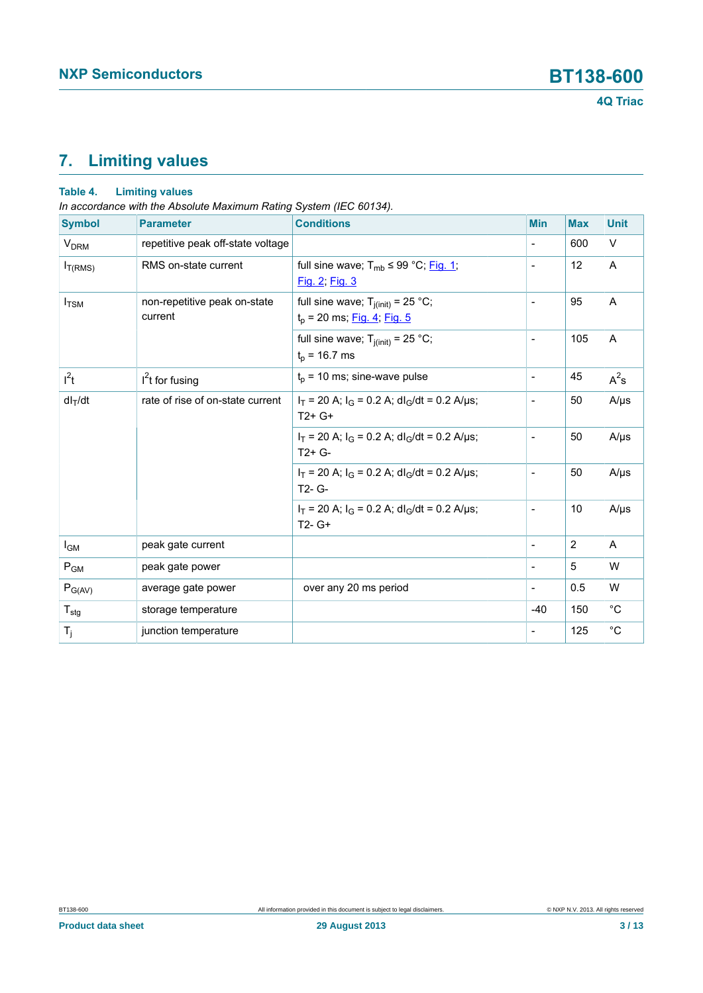# <span id="page-2-0"></span>**7. Limiting values**

### **Table 4. Limiting values**

*In accordance with the Absolute Maximum Rating System (IEC 60134).*

| <b>Symbol</b>          | <b>Parameter</b>                        | <b>Conditions</b>                                                         | <b>Min</b>                   | <b>Max</b> | <b>Unit</b> |
|------------------------|-----------------------------------------|---------------------------------------------------------------------------|------------------------------|------------|-------------|
| <b>V<sub>DRM</sub></b> | repetitive peak off-state voltage       |                                                                           | $\frac{1}{2}$                | 600        | $\vee$      |
| $I_{T(RMS)}$           | RMS on-state current                    | full sine wave; $T_{mb} \leq 99 \degree C$ ; Fig. 1;<br>Fig. 2; Fig. 3    | $\overline{a}$               | 12         | A           |
| $I_{\text{TSM}}$       | non-repetitive peak on-state<br>current | full sine wave; $T_{j(int)} = 25 °C$ ;<br>$t_p$ = 20 ms; Fig. 4; Fig. 5   | $\blacksquare$               | 95         | A           |
|                        |                                         | full sine wave; $T_{j(int)} = 25$ °C;<br>$t_p$ = 16.7 ms                  | ÷                            | 105        | A           |
| $I^2t$                 | $I2t$ for fusing                        | $t_p$ = 10 ms; sine-wave pulse                                            | $\frac{1}{2}$                | 45         | $A^2$ s     |
| $dl_T/dt$              | rate of rise of on-state current        | $I_T$ = 20 A; $I_G$ = 0.2 A; dl <sub>G</sub> /dt = 0.2 A/µs;<br>$T2+G+$   | $\overline{a}$               | 50         | $A/\mu s$   |
|                        |                                         | $I_T$ = 20 A; $I_G$ = 0.2 A; dl <sub>G</sub> /dt = 0.2 A/µs;<br>$T2+G-$   | $\overline{a}$               | 50         | $A/\mu s$   |
|                        |                                         | $I_T$ = 20 A; $I_G$ = 0.2 A; dl <sub>G</sub> /dt = 0.2 A/µs;<br>T2- G-    | $\blacksquare$               | 50         | $A/\mu s$   |
|                        |                                         | $I_T$ = 20 A; $I_G$ = 0.2 A; dl <sub>G</sub> /dt = 0.2 A/µs;<br>$T2 - G+$ | $\overline{\phantom{0}}$     | 10         | $A/\mu s$   |
| $I_{GM}$               | peak gate current                       |                                                                           | $\qquad \qquad \blacksquare$ | 2          | A           |
| $P_{GM}$               | peak gate power                         |                                                                           | ÷                            | 5          | W           |
| $P_{G(AV)}$            | average gate power                      | over any 20 ms period                                                     | $\overline{\phantom{a}}$     | 0.5        | W           |
| $T_{\text{stg}}$       | storage temperature                     |                                                                           | $-40$                        | 150        | $^{\circ}C$ |
| $T_j$                  | junction temperature                    |                                                                           |                              | 125        | $^{\circ}C$ |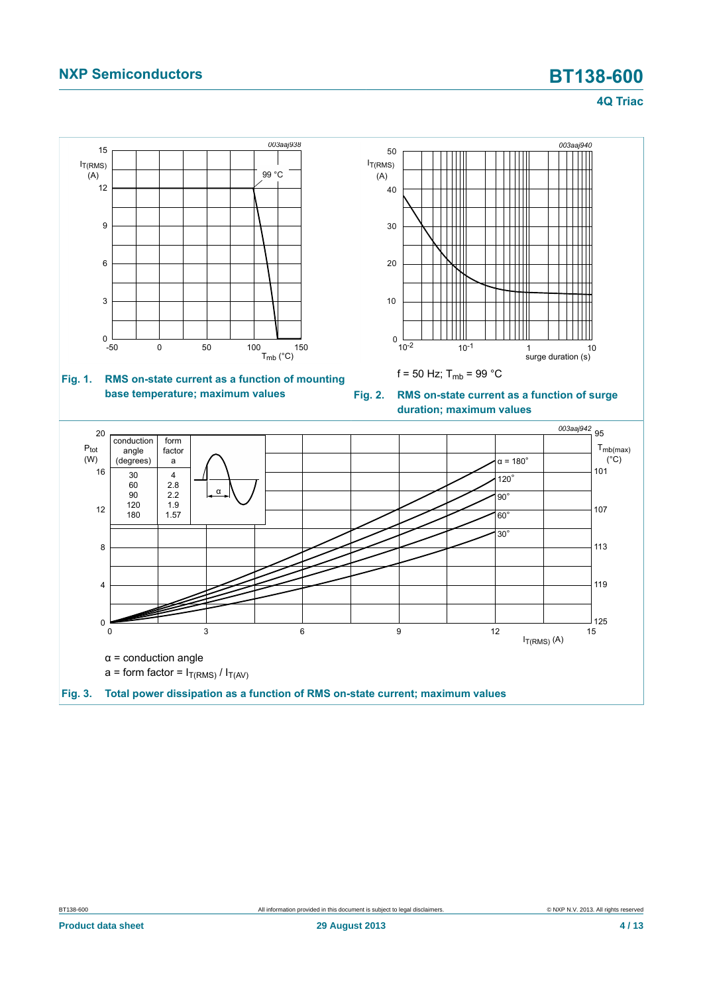<span id="page-3-1"></span>**4Q Triac**

<span id="page-3-2"></span><span id="page-3-0"></span>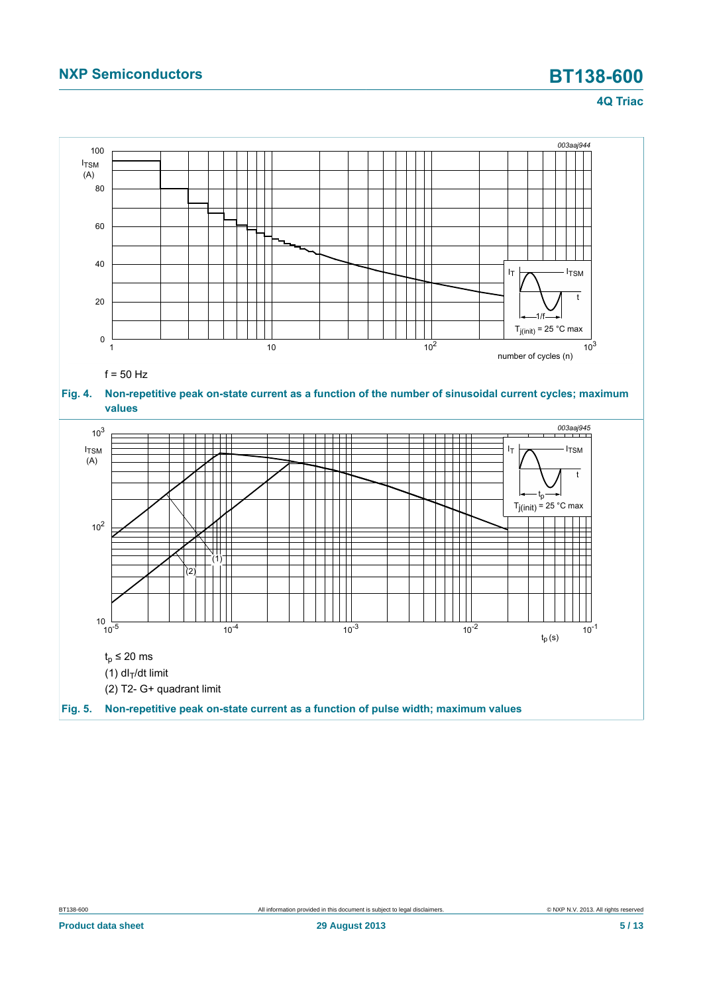### **4Q Triac**

<span id="page-4-1"></span><span id="page-4-0"></span>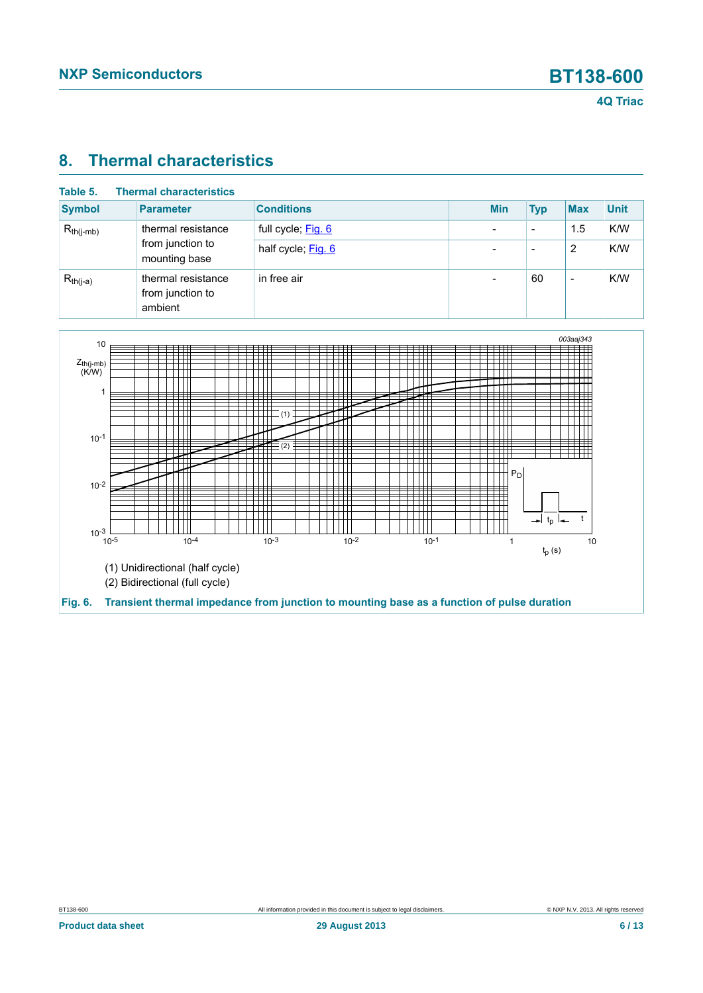# <span id="page-5-1"></span>**8. Thermal characteristics**

| Table 5.       | <b>Thermal characteristics</b>                    |                    |                          |                          |                          |             |
|----------------|---------------------------------------------------|--------------------|--------------------------|--------------------------|--------------------------|-------------|
| <b>Symbol</b>  | <b>Parameter</b>                                  | <b>Conditions</b>  | <b>Min</b>               | <b>Typ</b>               | <b>Max</b>               | <b>Unit</b> |
| $R_{th(j-mb)}$ | thermal resistance                                | full cycle; Fig. 6 | $\overline{\phantom{0}}$ | $\overline{\phantom{0}}$ | 1.5                      | K/W         |
|                | from junction to<br>mounting base                 | half cycle; Fig. 6 |                          | $\overline{\phantom{0}}$ | 2                        | K/W         |
| $R_{th(j-a)}$  | thermal resistance<br>from junction to<br>ambient | in free air        |                          | 60                       | $\overline{\phantom{a}}$ | K/W         |

<span id="page-5-0"></span>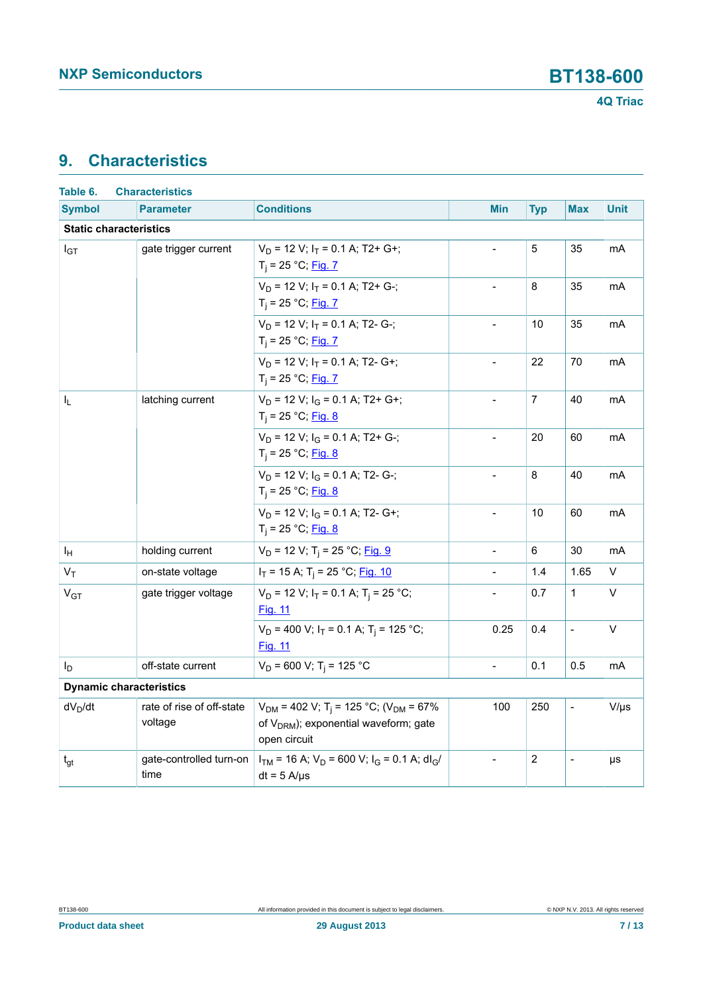# <span id="page-6-0"></span>**9. Characteristics**

| Table 6.                       | <b>Characteristics</b>               |                                                                                                                                        |                          |                |                          |                |
|--------------------------------|--------------------------------------|----------------------------------------------------------------------------------------------------------------------------------------|--------------------------|----------------|--------------------------|----------------|
| <b>Symbol</b>                  | <b>Parameter</b>                     | <b>Conditions</b>                                                                                                                      | <b>Min</b>               | <b>Typ</b>     | <b>Max</b>               | <b>Unit</b>    |
| <b>Static characteristics</b>  |                                      |                                                                                                                                        |                          |                |                          |                |
| $I_{GT}$                       | gate trigger current                 | $V_D$ = 12 V; $I_T$ = 0.1 A; T2+ G+;<br>$T_i = 25 °C;$ Fig. 7                                                                          | $\overline{a}$           | 5              | 35                       | mA             |
|                                |                                      | $V_D$ = 12 V; $I_T$ = 0.1 A; T2+ G-;<br>$T_i = 25 °C;$ Fig. 7                                                                          |                          | 8              | 35                       | m <sub>A</sub> |
|                                |                                      | $V_D$ = 12 V; $I_T$ = 0.1 A; T2- G-;<br>$T_i = 25 °C;$ Fig. 7                                                                          | $\blacksquare$           | 10             | 35                       | mA             |
|                                |                                      | $V_D$ = 12 V; $I_T$ = 0.1 A; T2- G+;<br>$T_i = 25 °C;$ Fig. 7                                                                          | $\frac{1}{2}$            | 22             | 70                       | mA             |
| I <sub>L</sub>                 | latching current                     | $V_D$ = 12 V; $I_G$ = 0.1 A; T2+ G+;<br>$T_i = 25 °C;$ Fig. 8                                                                          |                          | $\overline{7}$ | 40                       | mA             |
|                                |                                      | $V_D$ = 12 V; $I_G$ = 0.1 A; T2+ G-;<br>$T_i = 25 °C;$ Fig. 8                                                                          | $\overline{a}$           | 20             | 60                       | mA             |
|                                |                                      | $V_D$ = 12 V; $I_G$ = 0.1 A; T2- G-;<br>$T_i = 25 °C;$ Fig. 8                                                                          | $\frac{1}{2}$            | 8              | 40                       | mA             |
|                                |                                      | $V_D$ = 12 V; $I_G$ = 0.1 A; T2- G+;<br>$T_i = 25 °C;$ Fig. 8                                                                          | $\overline{\phantom{a}}$ | 10             | 60                       | mA             |
| ΙH                             | holding current                      | $V_D$ = 12 V; T <sub>i</sub> = 25 °C; Fig. 9                                                                                           | $\overline{a}$           | 6              | 30                       | m <sub>A</sub> |
| $V_T$                          | on-state voltage                     | $I_T$ = 15 A; T <sub>i</sub> = 25 °C; Fig. 10                                                                                          | $\blacksquare$           | 1.4            | 1.65                     | V              |
| V <sub>GT</sub>                | gate trigger voltage                 | $V_D$ = 12 V; $I_T$ = 0.1 A; T <sub>i</sub> = 25 °C;<br><b>Fig. 11</b>                                                                 |                          | 0.7            | $\mathbf{1}$             | V              |
|                                |                                      | $V_D$ = 400 V; $I_T$ = 0.1 A; T <sub>i</sub> = 125 °C;<br><u>Fig. 11</u>                                                               | 0.25                     | 0.4            | $\overline{a}$           | V              |
| I <sub>D</sub>                 | off-state current                    | $V_D$ = 600 V; T <sub>i</sub> = 125 °C                                                                                                 | $\overline{a}$           | 0.1            | 0.5                      | mA             |
| <b>Dynamic characteristics</b> |                                      |                                                                                                                                        |                          |                |                          |                |
| $dV_D/dt$                      | rate of rise of off-state<br>voltage | $V_{DM}$ = 402 V; T <sub>i</sub> = 125 °C; (V <sub>DM</sub> = 67%<br>of V <sub>DRM</sub> ); exponential waveform; gate<br>open circuit | 100                      | 250            | $\overline{\phantom{a}}$ | $V/\mu s$      |
| $t_{gt}$                       | gate-controlled turn-on<br>time      | $I_{TM}$ = 16 A; $V_D$ = 600 V; $I_G$ = 0.1 A; dl <sub>G</sub> /<br>$dt = 5$ A/ $\mu$ s                                                |                          | $\overline{2}$ |                          | μs             |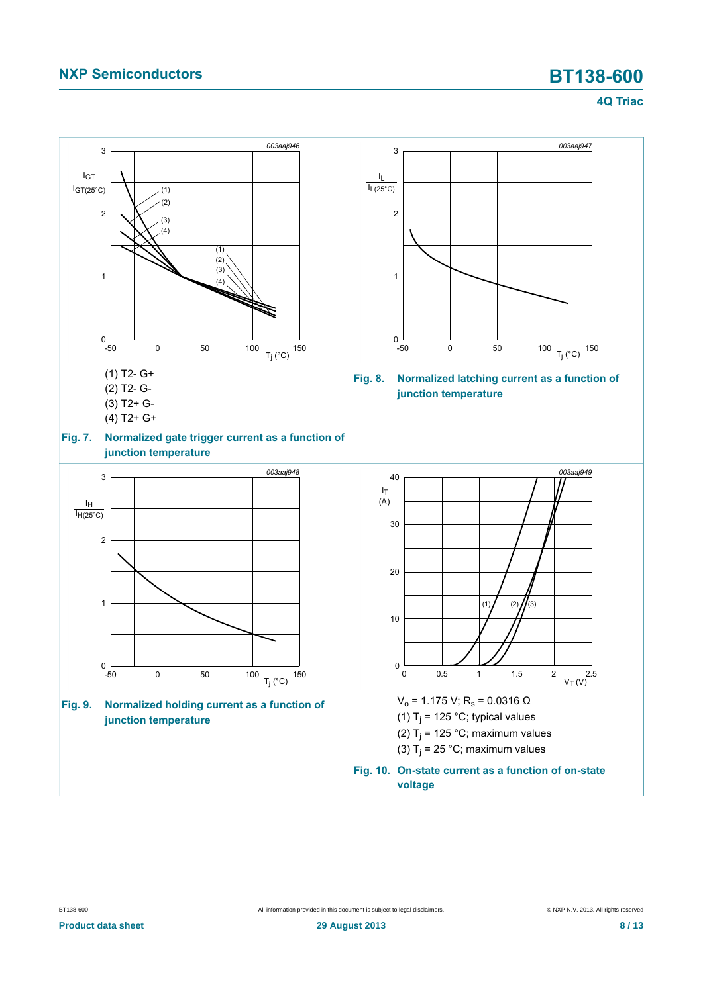### <span id="page-7-3"></span><span id="page-7-1"></span>**4Q Triac**

<span id="page-7-2"></span><span id="page-7-0"></span>

BT138-600 All information provided in this document is subject to legal disclaimers. © NXP N.V. 2013. All rights reserved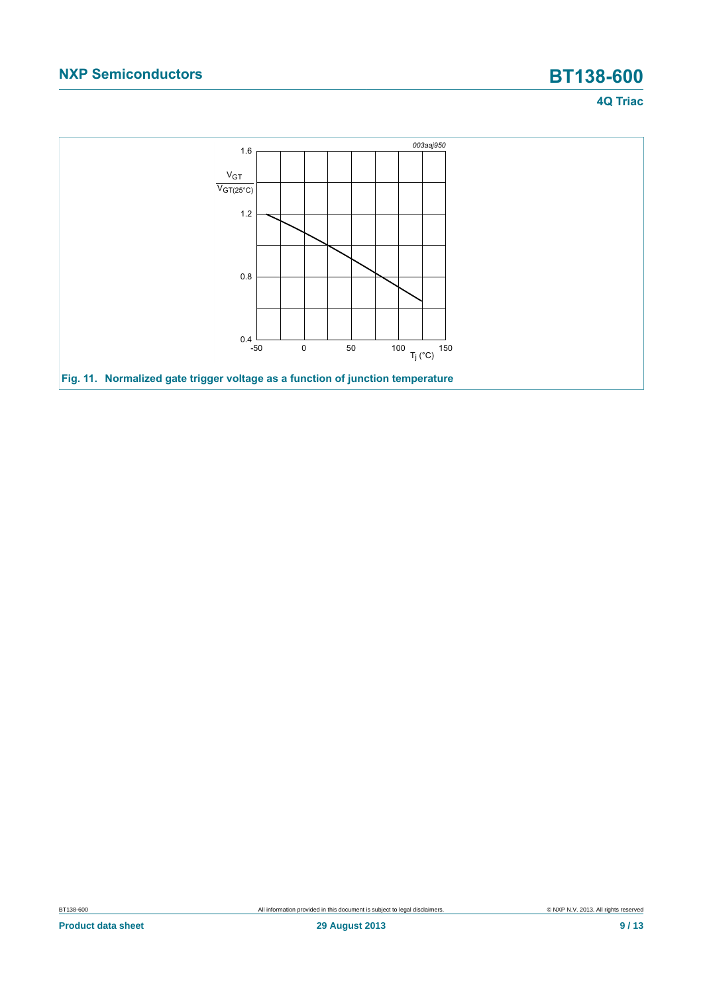### **4Q Triac**

<span id="page-8-0"></span>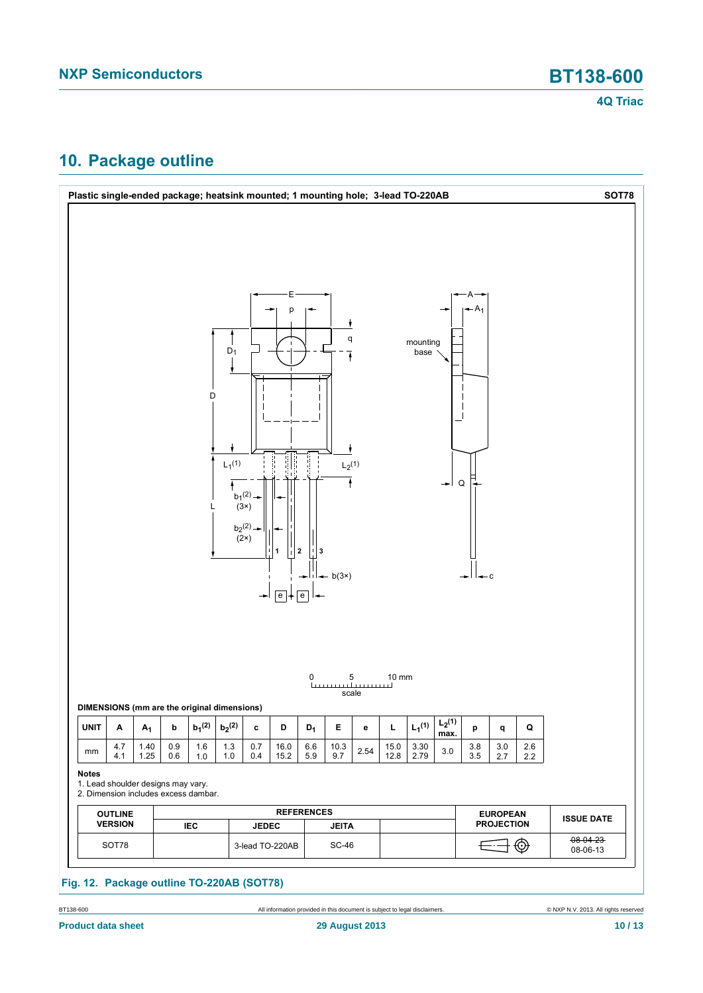## <span id="page-9-0"></span>**10. Package outline**



BT138-600 **All information provided in this document is subject to legal disclaimers.** © NXP N.V. 2013. All rights reserved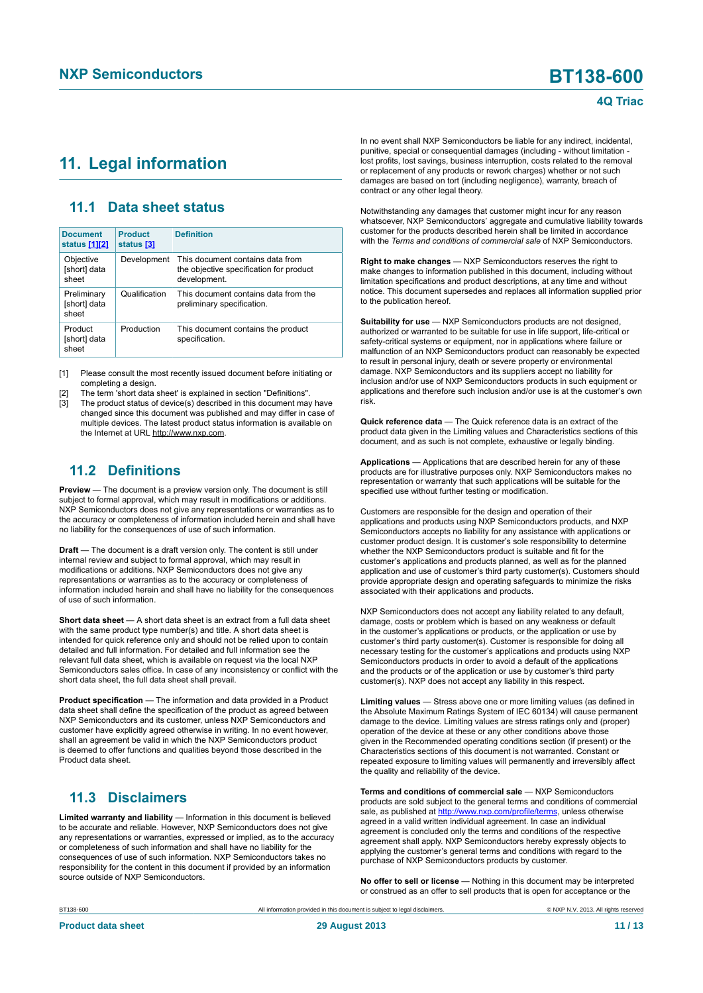### <span id="page-10-1"></span><span id="page-10-0"></span>**11. Legal information**

### <span id="page-10-2"></span>**11.1 Data sheet status**

| <b>Document</b><br>status [1][2]     | <b>Product</b><br>status [3] | <b>Definition</b>                                                                           |
|--------------------------------------|------------------------------|---------------------------------------------------------------------------------------------|
| Objective<br>[short] data<br>sheet   | Development                  | This document contains data from<br>the objective specification for product<br>development. |
| Preliminary<br>[short] data<br>sheet | Qualification                | This document contains data from the<br>preliminary specification.                          |
| Product<br>[short] data<br>sheet     | Production                   | This document contains the product<br>specification.                                        |

[1] Please consult the most recently issued document before initiating or completing a design.

[2] The term 'short data sheet' is explained in section "Definitions".

The product status of device(s) described in this document may have changed since this document was published and may differ in case of multiple devices. The latest product status information is available on the Internet at URL http://www.nxp.com.

### <span id="page-10-3"></span>**11.2 Definitions**

**Preview** — The document is a preview version only. The document is still subject to formal approval, which may result in modifications or additions. NXP Semiconductors does not give any representations or warranties as to the accuracy or completeness of information included herein and shall have no liability for the consequences of use of such information.

**Draft** — The document is a draft version only. The content is still under internal review and subject to formal approval, which may result in modifications or additions. NXP Semiconductors does not give any representations or warranties as to the accuracy or completeness of information included herein and shall have no liability for the consequences of use of such information.

**Short data sheet** — A short data sheet is an extract from a full data sheet with the same product type number(s) and title. A short data sheet is intended for quick reference only and should not be relied upon to contain detailed and full information. For detailed and full information see the relevant full data sheet, which is available on request via the local NXP Semiconductors sales office. In case of any inconsistency or conflict with the short data sheet, the full data sheet shall prevail.

**Product specification** — The information and data provided in a Product data sheet shall define the specification of the product as agreed between NXP Semiconductors and its customer, unless NXP Semiconductors and customer have explicitly agreed otherwise in writing. In no event however, shall an agreement be valid in which the NXP Semiconductors product is deemed to offer functions and qualities beyond those described in the Product data sheet.

### <span id="page-10-4"></span>**11.3 Disclaimers**

**Limited warranty and liability** — Information in this document is believed to be accurate and reliable. However, NXP Semiconductors does not give any representations or warranties, expressed or implied, as to the accuracy or completeness of such information and shall have no liability for the consequences of use of such information. NXP Semiconductors takes no responsibility for the content in this document if provided by an information source outside of NXP Semiconductors.

In no event shall NXP Semiconductors be liable for any indirect, incidental, punitive, special or consequential damages (including - without limitation lost profits, lost savings, business interruption, costs related to the removal or replacement of any products or rework charges) whether or not such damages are based on tort (including negligence), warranty, breach of contract or any other legal theory.

Notwithstanding any damages that customer might incur for any reason whatsoever, NXP Semiconductors' aggregate and cumulative liability towards customer for the products described herein shall be limited in accordance with the *Terms and conditions of commercial sale* of NXP Semiconductors.

**Right to make changes** — NXP Semiconductors reserves the right to make changes to information published in this document, including without limitation specifications and product descriptions, at any time and without notice. This document supersedes and replaces all information supplied prior to the publication hereof.

**Suitability for use** — NXP Semiconductors products are not designed, authorized or warranted to be suitable for use in life support, life-critical or safety-critical systems or equipment, nor in applications where failure or malfunction of an NXP Semiconductors product can reasonably be expected to result in personal injury, death or severe property or environmental damage. NXP Semiconductors and its suppliers accept no liability for inclusion and/or use of NXP Semiconductors products in such equipment or applications and therefore such inclusion and/or use is at the customer's own risk.

**Quick reference data** — The Quick reference data is an extract of the product data given in the Limiting values and Characteristics sections of this document, and as such is not complete, exhaustive or legally binding.

**Applications** — Applications that are described herein for any of these products are for illustrative purposes only. NXP Semiconductors makes no representation or warranty that such applications will be suitable for the specified use without further testing or modification.

Customers are responsible for the design and operation of their applications and products using NXP Semiconductors products, and NXP Semiconductors accepts no liability for any assistance with applications or customer product design. It is customer's sole responsibility to determine whether the NXP Semiconductors product is suitable and fit for the customer's applications and products planned, as well as for the planned application and use of customer's third party customer(s). Customers should provide appropriate design and operating safeguards to minimize the risks associated with their applications and products.

NXP Semiconductors does not accept any liability related to any default, damage, costs or problem which is based on any weakness or default in the customer's applications or products, or the application or use by customer's third party customer(s). Customer is responsible for doing all necessary testing for the customer's applications and products using NXP Semiconductors products in order to avoid a default of the applications and the products or of the application or use by customer's third party customer(s). NXP does not accept any liability in this respect.

**Limiting values** — Stress above one or more limiting values (as defined in the Absolute Maximum Ratings System of IEC 60134) will cause permanent damage to the device. Limiting values are stress ratings only and (proper) operation of the device at these or any other conditions above those given in the Recommended operating conditions section (if present) or the Characteristics sections of this document is not warranted. Constant or repeated exposure to limiting values will permanently and irreversibly affect the quality and reliability of the device.

**Terms and conditions of commercial sale** — NXP Semiconductors products are sold subject to the general terms and conditions of commercial sale, as published at<http://www.nxp.com/profile/terms>, unless otherwise agreed in a valid written individual agreement. In case an individual agreement is concluded only the terms and conditions of the respective agreement shall apply. NXP Semiconductors hereby expressly objects to applying the customer's general terms and conditions with regard to the purchase of NXP Semiconductors products by customer.

**No offer to sell or license** — Nothing in this document may be interpreted or construed as an offer to sell products that is open for acceptance or the

BT138-600 All information provided in this document is subject to legal disclaimers. © NXP N.V. 2013. All rights reserved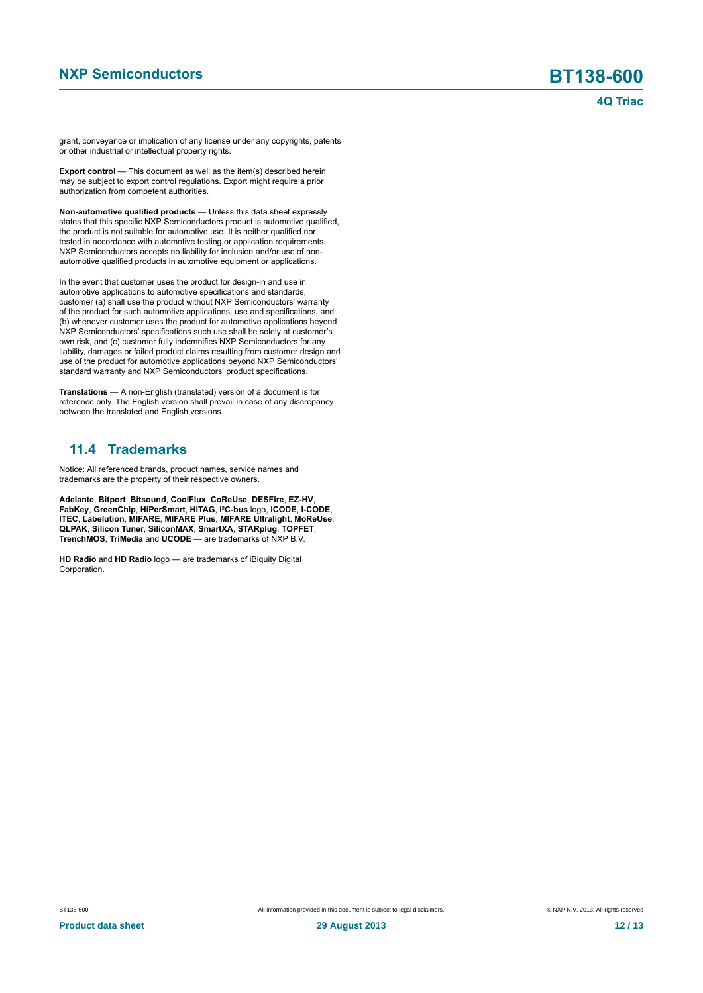grant, conveyance or implication of any license under any copyrights, patents or other industrial or intellectual property rights.

**Export control** — This document as well as the item(s) described herein may be subject to export control regulations. Export might require a prior authorization from competent authorities.

**Non-automotive qualified products** — Unless this data sheet expressly states that this specific NXP Semiconductors product is automotive qualified, the product is not suitable for automotive use. It is neither qualified nor tested in accordance with automotive testing or application requirements. NXP Semiconductors accepts no liability for inclusion and/or use of nonautomotive qualified products in automotive equipment or applications.

In the event that customer uses the product for design-in and use in automotive applications to automotive specifications and standards, customer (a) shall use the product without NXP Semiconductors' warranty of the product for such automotive applications, use and specifications, and (b) whenever customer uses the product for automotive applications beyond NXP Semiconductors' specifications such use shall be solely at customer's own risk, and (c) customer fully indemnifies NXP Semiconductors for any liability, damages or failed product claims resulting from customer design and use of the product for automotive applications beyond NXP Semiconductors' standard warranty and NXP Semiconductors' product specifications.

**Translations** — A non-English (translated) version of a document is for reference only. The English version shall prevail in case of any discrepancy between the translated and English versions.

### <span id="page-11-0"></span>**11.4 Trademarks**

Notice: All referenced brands, product names, service names and trademarks are the property of their respective owners.

**Adelante**, **Bitport**, **Bitsound**, **CoolFlux**, **CoReUse**, **DESFire**, **EZ-HV**, **FabKey**, **GreenChip**, **HiPerSmart**, **HITAG**, **I²C-bus** logo, **ICODE**, **I-CODE**, **ITEC**, **Labelution**, **MIFARE**, **MIFARE Plus**, **MIFARE Ultralight**, **MoReUse**, **QLPAK**, **Silicon Tuner**, **SiliconMAX**, **SmartXA**, **STARplug**, **TOPFET**, **TrenchMOS**, **TriMedia** and **UCODE** — are trademarks of NXP B.V.

**HD Radio** and **HD Radio** logo — are trademarks of iBiquity Digital Corporation.